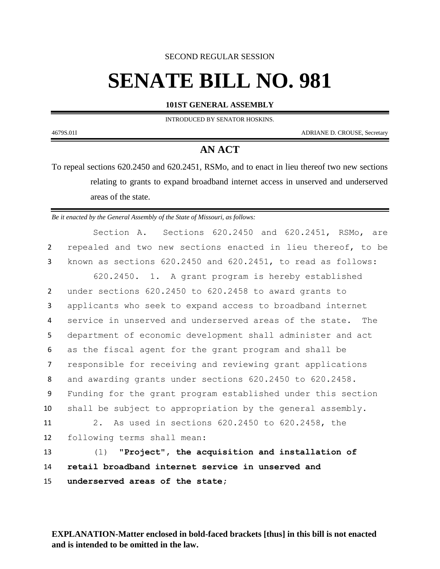SECOND REGULAR SESSION

## **SENATE BILL NO. 981**

## **101ST GENERAL ASSEMBLY**

INTRODUCED BY SENATOR HOSKINS.

4679S.01I ADRIANE D. CROUSE, Secretary

## **AN ACT**

To repeal sections 620.2450 and 620.2451, RSMo, and to enact in lieu thereof two new sections relating to grants to expand broadband internet access in unserved and underserved areas of the state.

*Be it enacted by the General Assembly of the State of Missouri, as follows:*

Section A. Sections 620.2450 and 620.2451, RSMo, are repealed and two new sections enacted in lieu thereof, to be known as sections 620.2450 and 620.2451, to read as follows: 620.2450. 1. A grant program is hereby established under sections 620.2450 to 620.2458 to award grants to applicants who seek to expand access to broadband internet service in unserved and underserved areas of the state. The department of economic development shall administer and act as the fiscal agent for the grant program and shall be responsible for receiving and reviewing grant applications and awarding grants under sections 620.2450 to 620.2458. Funding for the grant program established under this section shall be subject to appropriation by the general assembly. 2. As used in sections 620.2450 to 620.2458, the following terms shall mean: (1) **"Project", the acquisition and installation of retail broadband internet service in unserved and underserved areas of the state;**

**EXPLANATION-Matter enclosed in bold-faced brackets [thus] in this bill is not enacted and is intended to be omitted in the law.**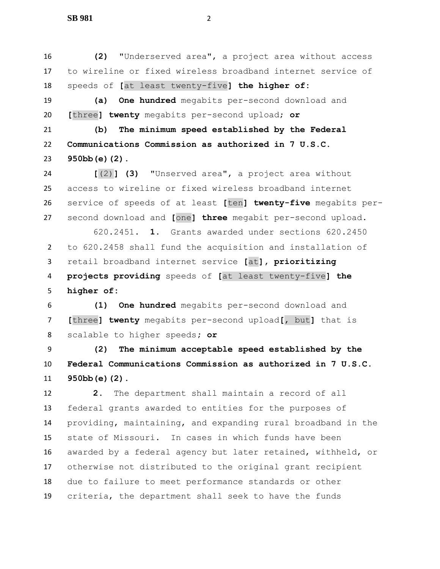**SB 981** 2

 **(2)** "Underserved area", a project area without access to wireline or fixed wireless broadband internet service of speeds of **[**at least twenty-five**] the higher of: (a) One hundred** megabits per-second download and **[**three**] twenty** megabits per-second upload; **or (b) The minimum speed established by the Federal Communications Commission as authorized in 7 U.S.C. 950bb(e)(2). [**(2)**] (3)** "Unserved area", a project area without access to wireline or fixed wireless broadband internet service of speeds of at least **[**ten**] twenty-five** megabits per- second download and **[**one**] three** megabit per-second upload. 620.2451. **1.** Grants awarded under sections 620.2450 to 620.2458 shall fund the acquisition and installation of retail broadband internet service **[**at**], prioritizing projects providing** speeds of **[**at least twenty-five**] the higher of: (1) One hundred** megabits per-second download and **[**three**] twenty** megabits per-second upload**[**, but**]** that is scalable to higher speeds**; or (2) The minimum acceptable speed established by the Federal Communications Commission as authorized in 7 U.S.C. 950bb(e)(2)**. **2.** The department shall maintain a record of all federal grants awarded to entities for the purposes of providing, maintaining, and expanding rural broadband in the state of Missouri. In cases in which funds have been awarded by a federal agency but later retained, withheld, or otherwise not distributed to the original grant recipient due to failure to meet performance standards or other criteria, the department shall seek to have the funds